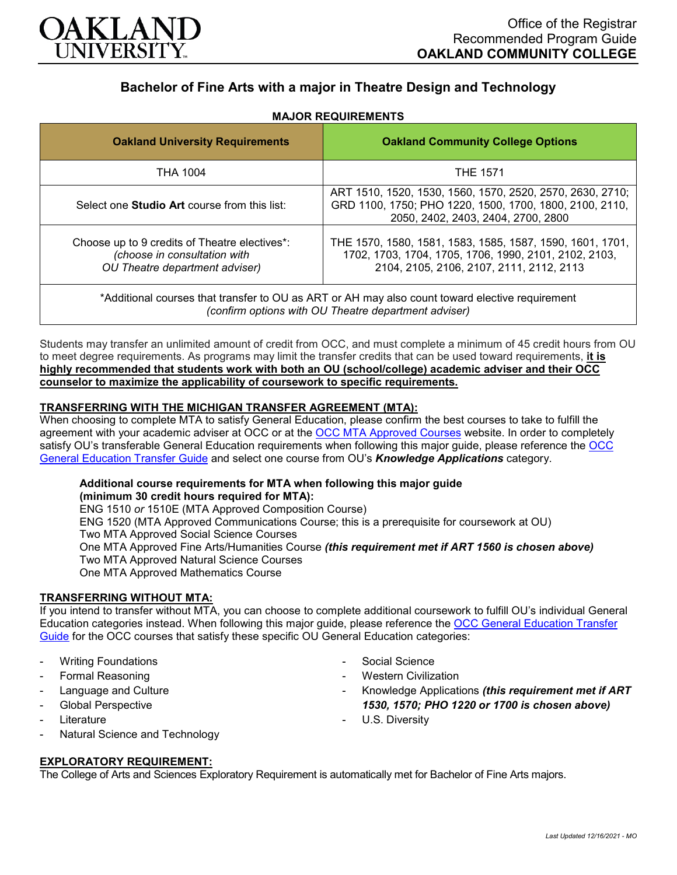

# **Bachelor of Fine Arts with a major in Theatre Design and Technology**

## **MAJOR REQUIREMENTS**

| <b>Oakland University Requirements</b>                                                                                                                  | <b>Oakland Community College Options</b>                                                                                                                       |
|---------------------------------------------------------------------------------------------------------------------------------------------------------|----------------------------------------------------------------------------------------------------------------------------------------------------------------|
| <b>THA 1004</b>                                                                                                                                         | <b>THE 1571</b>                                                                                                                                                |
| Select one <b>Studio Art</b> course from this list:                                                                                                     | ART 1510, 1520, 1530, 1560, 1570, 2520, 2570, 2630, 2710;<br>GRD 1100, 1750; PHO 1220, 1500, 1700, 1800, 2100, 2110,<br>2050, 2402, 2403, 2404, 2700, 2800     |
| Choose up to 9 credits of Theatre electives*:<br>(choose in consultation with<br>OU Theatre department adviser)                                         | THE 1570, 1580, 1581, 1583, 1585, 1587, 1590, 1601, 1701,<br>1702, 1703, 1704, 1705, 1706, 1990, 2101, 2102, 2103,<br>2104, 2105, 2106, 2107, 2111, 2112, 2113 |
| *Additional courses that transfer to OU as ART or AH may also count toward elective requirement<br>(confirm options with OU Theatre department adviser) |                                                                                                                                                                |

Students may transfer an unlimited amount of credit from OCC, and must complete a minimum of 45 credit hours from OU to meet degree requirements. As programs may limit the transfer credits that can be used toward requirements, **it is highly recommended that students work with both an OU (school/college) academic adviser and their OCC counselor to maximize the applicability of coursework to specific requirements.**

### **TRANSFERRING WITH THE MICHIGAN TRANSFER AGREEMENT (MTA):**

When choosing to complete MTA to satisfy General Education, please confirm the best courses to take to fulfill the agreement with your academic adviser at OCC or at the [OCC MTA Approved Courses](http://catalog.oaklandcc.edu/graduation-requirements/michigan-transfer-agreement/) website. In order to completely satisfy OU's transferable General Education requirements when following this major guide, please reference the [OCC](https://www.oakland.edu/Assets/Oakland/program-guides/oakland-community-college/university-general-education-requirements/OCC%20Gen%20Ed.pdf)  [General Education Transfer Guide](https://www.oakland.edu/Assets/Oakland/program-guides/oakland-community-college/university-general-education-requirements/OCC%20Gen%20Ed.pdf) and select one course from OU's *Knowledge Applications* category.

# **Additional course requirements for MTA when following this major guide**

#### **(minimum 30 credit hours required for MTA):**

ENG 1510 *or* 1510E (MTA Approved Composition Course) ENG 1520 (MTA Approved Communications Course; this is a prerequisite for coursework at OU) Two MTA Approved Social Science Courses One MTA Approved Fine Arts/Humanities Course *(this requirement met if ART 1560 is chosen above)* Two MTA Approved Natural Science Courses One MTA Approved Mathematics Course

#### **TRANSFERRING WITHOUT MTA:**

If you intend to transfer without MTA, you can choose to complete additional coursework to fulfill OU's individual General Education categories instead. When following this major guide, please reference the [OCC General Education Transfer](https://www.oakland.edu/Assets/Oakland/program-guides/oakland-community-college/university-general-education-requirements/OCC%20Gen%20Ed.pdf)  [Guide](https://www.oakland.edu/Assets/Oakland/program-guides/oakland-community-college/university-general-education-requirements/OCC%20Gen%20Ed.pdf) for the OCC courses that satisfy these specific OU General Education categories:

- **Writing Foundations**
- Formal Reasoning
- Language and Culture
- Global Perspective
- **Literature**
- Natural Science and Technology

### **EXPLORATORY REQUIREMENT:**

The College of Arts and Sciences Exploratory Requirement is automatically met for Bachelor of Fine Arts majors.

- Social Science
- Western Civilization
- Knowledge Applications *(this requirement met if ART 1530, 1570; PHO 1220 or 1700 is chosen above)*
- U.S. Diversity